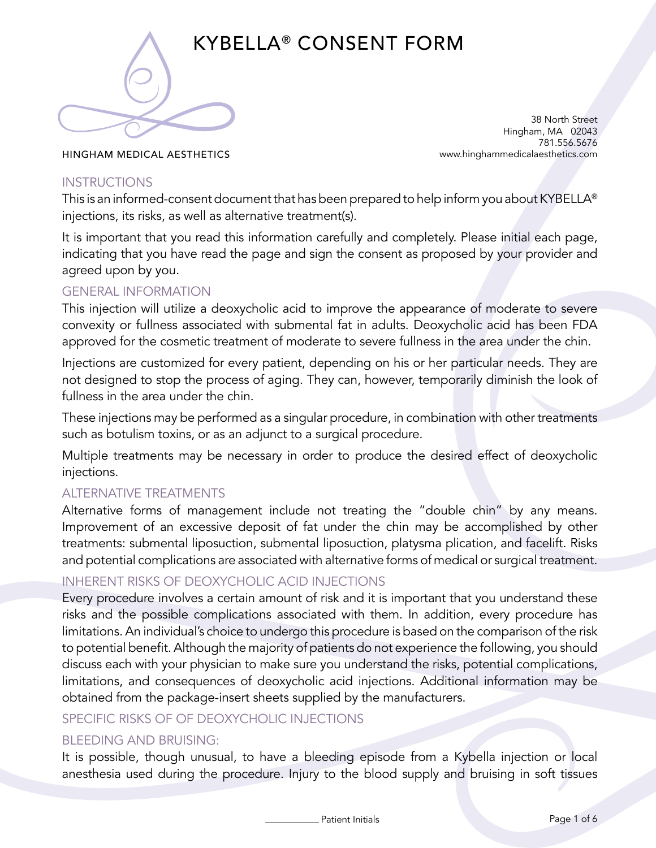

# KYBELLA® CONSENT FORM

38 North Street Hingham, MA 02043 781.556.5676 www.hinghammedicalaesthetics.com

HINGHAM MEDICAL AESTHETICS

### **INSTRUCTIONS**

This is an informed-consent document that has been prepared to help inform you about KYBELLA® injections, its risks, as well as alternative treatment(s).

It is important that you read this information carefully and completely. Please initial each page, indicating that you have read the page and sign the consent as proposed by your provider and agreed upon by you.

# GENERAL INFORMATION

This injection will utilize a deoxycholic acid to improve the appearance of moderate to severe convexity or fullness associated with submental fat in adults. Deoxycholic acid has been FDA approved for the cosmetic treatment of moderate to severe fullness in the area under the chin.

Injections are customized for every patient, depending on his or her particular needs. They are not designed to stop the process of aging. They can, however, temporarily diminish the look of fullness in the area under the chin.

These injections may be performed as a singular procedure, in combination with other treatments such as botulism toxins, or as an adjunct to a surgical procedure.

Multiple treatments may be necessary in order to produce the desired effect of deoxycholic injections.

# ALTERNATIVE TREATMENTS

Alternative forms of management include not treating the "double chin" by any means. Improvement of an excessive deposit of fat under the chin may be accomplished by other treatments: submental liposuction, submental liposuction, platysma plication, and facelift. Risks and potential complications are associated with alternative forms of medical or surgical treatment.

# INHERENT RISKS OF DEOXYCHOLIC ACID INJECTIONS

Every procedure involves a certain amount of risk and it is important that you understand these risks and the possible complications associated with them. In addition, every procedure has limitations. An individual's choice to undergo this procedure is based on the comparison of the risk to potential benefit. Although the majority of patients do not experience the following, you should discuss each with your physician to make sure you understand the risks, potential complications, limitations, and consequences of deoxycholic acid injections. Additional information may be obtained from the package-insert sheets supplied by the manufacturers.

# SPECIFIC RISKS OF OF DEOXYCHOLIC INJECTIONS

### BLEEDING AND BRUISING:

It is possible, though unusual, to have a bleeding episode from a Kybella injection or local anesthesia used during the procedure. Injury to the blood supply and bruising in soft tissues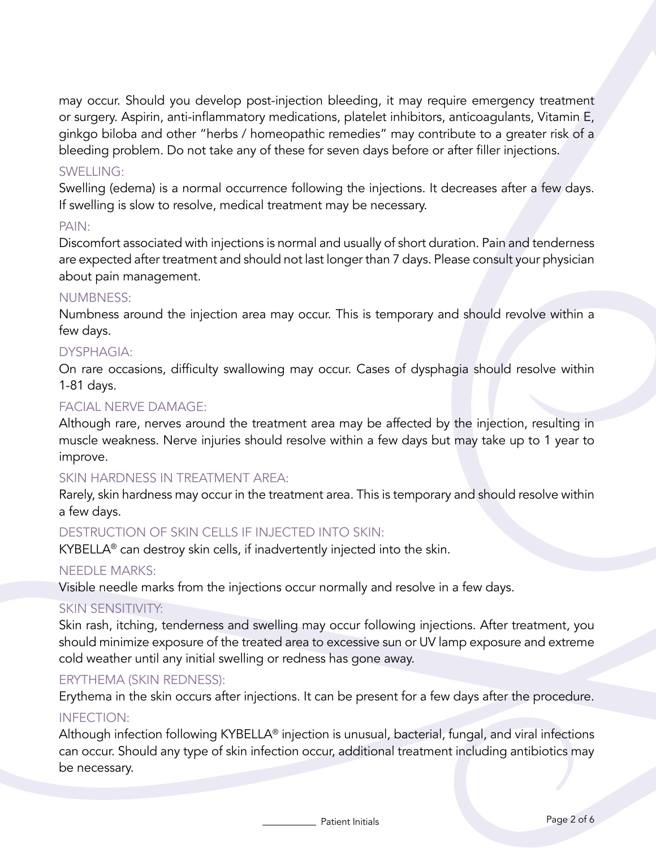may occur. Should you develop post-injection bleeding, it may require emergency treatment or surgery. Aspirin, anti-inflammatory medications, platelet inhibitors, anticoagulants, Vitamin E, ginkgo biloba and other "herbs / homeopathic remedies" may contribute to a greater risk of a bleeding problem. Do not take any of these for seven days before or after filler injections.

#### SWELLING:

Swelling (edema) is a normal occurrence following the injections. It decreases after a few days. If swelling is slow to resolve, medical treatment may be necessary.

#### PAIN:

Discomfort associated with injections is normal and usually of short duration. Pain and tenderness are expected after treatment and should not last longer than 7 days. Please consult your physician about pain management.

#### NUMBNESS:

Numbness around the injection area may occur. This is temporary and should revolve within a few days.

### DYSPHAGIA:

On rare occasions, difficulty swallowing may occur. Cases of dysphagia should resolve within 1-81 days.

### FACIAL NERVE DAMAGE:

Although rare, nerves around the treatment area may be affected by the injection, resulting in muscle weakness. Nerve injuries should resolve within a few days but may take up to 1 year to improve.

#### SKIN HARDNESS IN TREATMENT AREA:

Rarely, skin hardness may occur in the treatment area. This is temporary and should resolve within a few days.

### DESTRUCTION OF SKIN CELLS IF INJECTED INTO SKIN:

KYBELLA® can destroy skin cells, if inadvertently injected into the skin.

#### NEEDLE MARKS:

Visible needle marks from the injections occur normally and resolve in a few days.

#### SKIN SENSITIVITY:

Skin rash, itching, tenderness and swelling may occur following injections. After treatment, you should minimize exposure of the treated area to excessive sun or UV lamp exposure and extreme cold weather until any initial swelling or redness has gone away.

#### ERYTHEMA (SKIN REDNESS):

Erythema in the skin occurs after injections. It can be present for a few days after the procedure.

#### INFECTION:

Although infection following KYBELLA® injection is unusual, bacterial, fungal, and viral infections can occur. Should any type of skin infection occur, additional treatment including antibiotics may be necessary.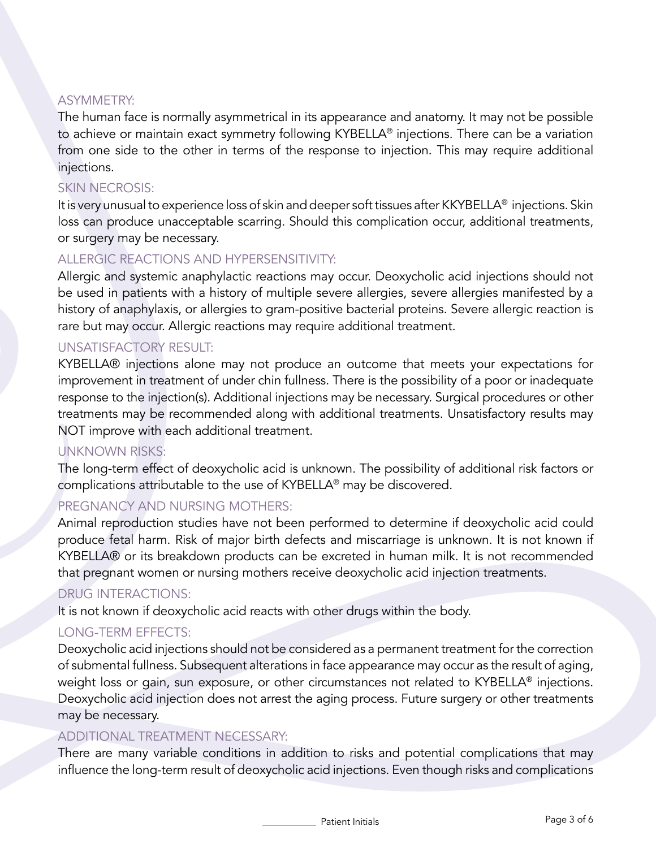### ASYMMETRY:

The human face is normally asymmetrical in its appearance and anatomy. It may not be possible to achieve or maintain exact symmetry following KYBELLA® injections. There can be a variation from one side to the other in terms of the response to injection. This may require additional injections.

# SKIN NECROSIS:

It is very unusual to experience loss of skin and deeper soft tissues after KKYBELLA® injections. Skin loss can produce unacceptable scarring. Should this complication occur, additional treatments, or surgery may be necessary.

# ALLERGIC REACTIONS AND HYPERSENSITIVITY:

Allergic and systemic anaphylactic reactions may occur. Deoxycholic acid injections should not be used in patients with a history of multiple severe allergies, severe allergies manifested by a history of anaphylaxis, or allergies to gram-positive bacterial proteins. Severe allergic reaction is rare but may occur. Allergic reactions may require additional treatment.

# UNSATISFACTORY RESULT:

KYBELLA® injections alone may not produce an outcome that meets your expectations for improvement in treatment of under chin fullness. There is the possibility of a poor or inadequate response to the injection(s). Additional injections may be necessary. Surgical procedures or other treatments may be recommended along with additional treatments. Unsatisfactory results may NOT improve with each additional treatment.

# UNKNOWN RISKS:

The long-term effect of deoxycholic acid is unknown. The possibility of additional risk factors or complications attributable to the use of KYBELLA® may be discovered.

# PREGNANCY AND NURSING MOTHERS:

Animal reproduction studies have not been performed to determine if deoxycholic acid could produce fetal harm. Risk of major birth defects and miscarriage is unknown. It is not known if KYBELLA® or its breakdown products can be excreted in human milk. It is not recommended that pregnant women or nursing mothers receive deoxycholic acid injection treatments.

# DRUG INTERACTIONS:

It is not known if deoxycholic acid reacts with other drugs within the body.

# LONG-TERM EFFECTS:

Deoxycholic acid injections should not be considered as a permanent treatment for the correction of submental fullness. Subsequent alterations in face appearance may occur as the result of aging, weight loss or gain, sun exposure, or other circumstances not related to KYBELLA® injections. Deoxycholic acid injection does not arrest the aging process. Future surgery or other treatments may be necessary.

### ADDITIONAL TREATMENT NECESSARY:

There are many variable conditions in addition to risks and potential complications that may influence the long-term result of deoxycholic acid injections. Even though risks and complications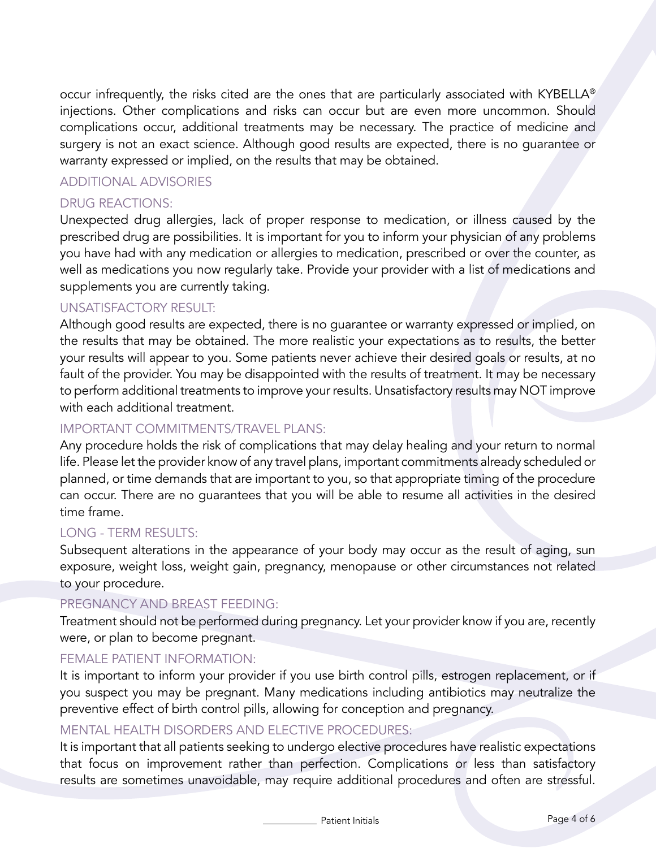occur infrequently, the risks cited are the ones that are particularly associated with KYBELLA® injections. Other complications and risks can occur but are even more uncommon. Should complications occur, additional treatments may be necessary. The practice of medicine and surgery is not an exact science. Although good results are expected, there is no guarantee or warranty expressed or implied, on the results that may be obtained.

### ADDITIONAL ADVISORIES

### DRUG REACTIONS:

Unexpected drug allergies, lack of proper response to medication, or illness caused by the prescribed drug are possibilities. It is important for you to inform your physician of any problems you have had with any medication or allergies to medication, prescribed or over the counter, as well as medications you now regularly take. Provide your provider with a list of medications and supplements you are currently taking.

#### UNSATISFACTORY RESULT:

Although good results are expected, there is no guarantee or warranty expressed or implied, on the results that may be obtained. The more realistic your expectations as to results, the better your results will appear to you. Some patients never achieve their desired goals or results, at no fault of the provider. You may be disappointed with the results of treatment. It may be necessary to perform additional treatments to improve your results. Unsatisfactory results may NOT improve with each additional treatment.

### IMPORTANT COMMITMENTS/TRAVEL PLANS:

Any procedure holds the risk of complications that may delay healing and your return to normal life. Please let the provider know of any travel plans, important commitments already scheduled or planned, or time demands that are important to you, so that appropriate timing of the procedure can occur. There are no guarantees that you will be able to resume all activities in the desired time frame.

### LONG - TERM RESULTS:

Subsequent alterations in the appearance of your body may occur as the result of aging, sun exposure, weight loss, weight gain, pregnancy, menopause or other circumstances not related to your procedure.

#### PREGNANCY AND BREAST FEEDING:

Treatment should not be performed during pregnancy. Let your provider know if you are, recently were, or plan to become pregnant.

### FEMALE PATIENT INFORMATION:

It is important to inform your provider if you use birth control pills, estrogen replacement, or if you suspect you may be pregnant. Many medications including antibiotics may neutralize the preventive effect of birth control pills, allowing for conception and pregnancy.

### MENTAL HEALTH DISORDERS AND ELECTIVE PROCEDURES:

It is important that all patients seeking to undergo elective procedures have realistic expectations that focus on improvement rather than perfection. Complications or less than satisfactory results are sometimes unavoidable, may require additional procedures and often are stressful.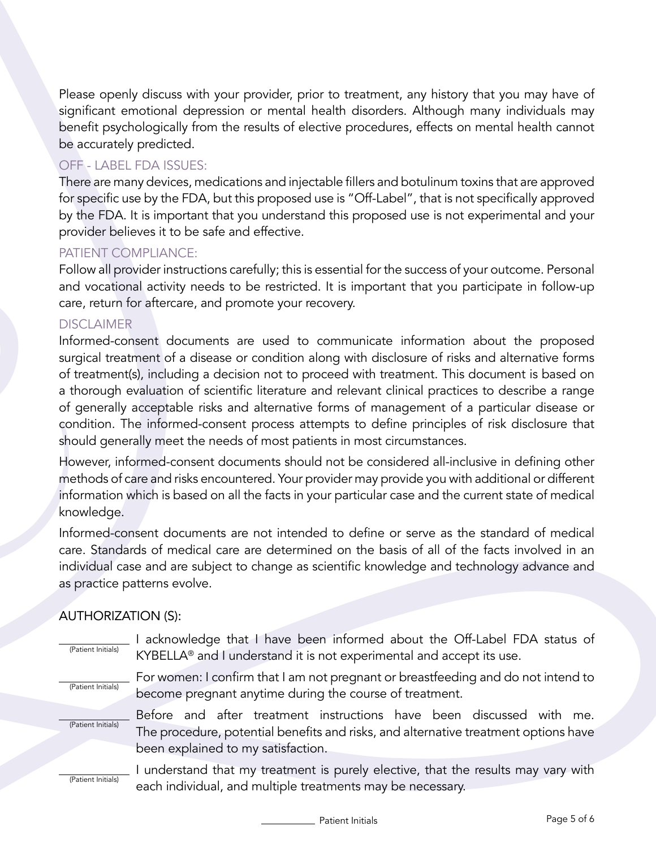Please openly discuss with your provider, prior to treatment, any history that you may have of significant emotional depression or mental health disorders. Although many individuals may benefit psychologically from the results of elective procedures, effects on mental health cannot be accurately predicted.

### OFF - LABEL FDA ISSUES:

There are many devices, medications and injectable fillers and botulinum toxins that are approved for specific use by the FDA, but this proposed use is "Off-Label", that is not specifically approved by the FDA. It is important that you understand this proposed use is not experimental and your provider believes it to be safe and effective.

### PATIENT COMPLIANCE:

Follow all provider instructions carefully; this is essential for the success of your outcome. Personal and vocational activity needs to be restricted. It is important that you participate in follow-up care, return for aftercare, and promote your recovery.

### DISCLAIMER

Informed-consent documents are used to communicate information about the proposed surgical treatment of a disease or condition along with disclosure of risks and alternative forms of treatment(s), including a decision not to proceed with treatment. This document is based on a thorough evaluation of scientific literature and relevant clinical practices to describe a range of generally acceptable risks and alternative forms of management of a particular disease or condition. The informed-consent process attempts to define principles of risk disclosure that should generally meet the needs of most patients in most circumstances.

However, informed-consent documents should not be considered all-inclusive in defining other methods of care and risks encountered. Your provider may provide you with additional or different information which is based on all the facts in your particular case and the current state of medical knowledge.

Informed-consent documents are not intended to define or serve as the standard of medical care. Standards of medical care are determined on the basis of all of the facts involved in an individual case and are subject to change as scientific knowledge and technology advance and as practice patterns evolve.

# AUTHORIZATION (S):

| (Patient Initials) | acknowledge that I have been informed about the Off-Label FDA status of<br>KYBELLA <sup>®</sup> and I understand it is not experimental and accept its use.                                       |
|--------------------|---------------------------------------------------------------------------------------------------------------------------------------------------------------------------------------------------|
| (Patient Initials) | For women: I confirm that I am not pregnant or breastfeeding and do not intend to<br>become pregnant anytime during the course of treatment.                                                      |
| (Patient Initials) | Before and after treatment instructions have been discussed with me.<br>The procedure, potential benefits and risks, and alternative treatment options have<br>been explained to my satisfaction. |
|                    | understand that my treatment is purely elective, that the results may vary with                                                                                                                   |

(Patient Initials)

I understand that my treatment is purely elective, that the results may vary with each individual, and multiple treatments may be necessary.